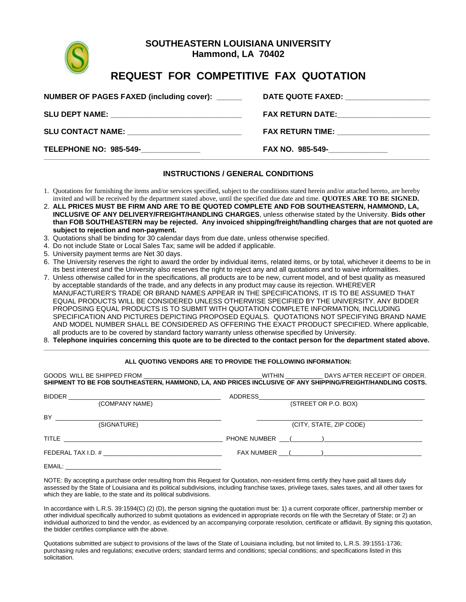**SOUTHEASTERN LOUISIANA UNIVERSITY**



**Hammond, LA 70402**

## **REQUEST FOR COMPETITIVE FAX QUOTATION**

| NUMBER OF PAGES FAXED (including cover):           |                                                                                                                                                                                                                                |
|----------------------------------------------------|--------------------------------------------------------------------------------------------------------------------------------------------------------------------------------------------------------------------------------|
| SLU DEPT NAME: ___________________________________ | FAX RETURN DATE: ________________________                                                                                                                                                                                      |
| SLU CONTACT NAME: ____________________________     | FAX RETURN TIME: Network and the set of the set of the set of the set of the set of the set of the set of the set of the set of the set of the set of the set of the set of the set of the set of the set of the set of the se |
| TELEPHONE NO: 985-549-                             |                                                                                                                                                                                                                                |

## **INSTRUCTIONS / GENERAL CONDITIONS**

- 1. Quotations for furnishing the items and/or services specified, subject to the conditions stated herein and/or attached hereto, are hereby invited and will be received by the department stated above, until the specified due date and time. **QUOTES ARE TO BE SIGNED.**
- 2. **ALL PRICES MUST BE FIRM AND ARE TO BE QUOTED COMPLETE AND FOB SOUTHEASTERN, HAMMOND, LA, INCLUSIVE OF ANY DELIVERY/FREIGHT/HANDLING CHARGES**, unless otherwise stated by the University. **Bids other than FOB SOUTHEASTERN may be rejected. Any invoiced shipping/freight/handling charges that are not quoted are subject to rejection and non-payment.**
- 3. Quotations shall be binding for 30 calendar days from due date, unless otherwise specified.
- 4. Do not include State or Local Sales Tax; same will be added if applicable.
- 5. University payment terms are Net 30 days.
- 6. The University reserves the right to award the order by individual items, related items, or by total, whichever it deems to be in its best interest and the University also reserves the right to reject any and all quotations and to waive informalities.
- 7. Unless otherwise called for in the specifications, all products are to be new, current model, and of best quality as measured by acceptable standards of the trade, and any defects in any product may cause its rejection. WHEREVER MANUFACTURER'S TRADE OR BRAND NAMES APPEAR IN THE SPECIFICATIONS, IT IS TO BE ASSUMED THAT EQUAL PRODUCTS WILL BE CONSIDERED UNLESS OTHERWISE SPECIFIED BY THE UNIVERSITY. ANY BIDDER PROPOSING EQUAL PRODUCTS IS TO SUBMIT WITH QUOTATION COMPLETE INFORMATION, INCLUDING SPECIFICATION AND PICTURES DEPICTING PROPOSED EQUALS. QUOTATIONS NOT SPECIFYING BRAND NAME AND MODEL NUMBER SHALL BE CONSIDERED AS OFFERING THE EXACT PRODUCT SPECIFIED. Where applicable, all products are to be covered by standard factory warranty unless otherwise specified by University.
- 8. **Telephone inquiries concerning this quote are to be directed to the contact person for the department stated above. \_\_\_\_\_\_\_\_\_\_\_\_\_\_\_\_\_\_\_\_\_\_\_\_\_\_\_\_\_\_\_\_\_\_\_\_\_\_\_\_\_\_\_\_\_\_\_\_\_\_\_\_\_\_\_\_\_\_\_\_\_\_\_\_\_\_\_\_\_\_\_\_\_\_\_\_\_\_\_\_\_\_\_\_\_\_\_\_\_\_\_\_\_\_\_\_\_\_\_\_\_\_\_\_\_\_\_\_\_\_\_\_\_\_**

## **ALL QUOTING VENDORS ARE TO PROVIDE THE FOLLOWING INFORMATION:**

|                    |                                                                                                                          | WITHIN DAYS AFTER RECEIPT OF ORDER.<br>SHIPMENT TO BE FOB SOUTHEASTERN, HAMMOND, LA, AND PRICES INCLUSIVE OF ANY SHIPPING/FREIGHT/HANDLING COSTS. |
|--------------------|--------------------------------------------------------------------------------------------------------------------------|---------------------------------------------------------------------------------------------------------------------------------------------------|
|                    | (COMPANY NAME)                                                                                                           | (STREET OR P.O. BOX)                                                                                                                              |
|                    | (SIGNATURE)                                                                                                              | (CITY, STATE, ZIP CODE)                                                                                                                           |
|                    | TITLE <b>And the Community of the Community of the Community of the Community of the Community of the Community of T</b> | PHONE NUMBER ( )                                                                                                                                  |
| FEDERAL TAX I.D. # |                                                                                                                          | $FAX NUMBER$ $($ $)$                                                                                                                              |
|                    |                                                                                                                          |                                                                                                                                                   |

NOTE: By accepting a purchase order resulting from this Request for Quotation, non-resident firms certify they have paid all taxes duly assessed by the State of Louisiana and its political subdivisions, including franchise taxes, privilege taxes, sales taxes, and all other taxes for which they are liable, to the state and its political subdivisions.

In accordance with L.R.S. 39:1594(C) (2) (D), the person signing the quotation must be: 1) a current corporate officer, partnership member or other individual specifically authorized to submit quotations as evidenced in appropriate records on file with the Secretary of State; or 2) an individual authorized to bind the vendor, as evidenced by an accompanying corporate resolution, certificate or affidavit. By signing this quotation, the bidder certifies compliance with the above.

Quotations submitted are subject to provisions of the laws of the State of Louisiana including, but not limited to, L.R.S. 39:1551-1736; purchasing rules and regulations; executive orders; standard terms and conditions; special conditions; and specifications listed in this solicitation.